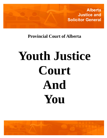**Alberta Justice and Solicitor General**

**Provincial Court of Alberta**

# **Youth Justice Court And You**

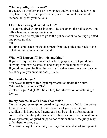#### **What is youth justice court?**

If you are 12 or older and 17 or younger, and you break the law, you may have to go to youth justice court, where you will have to take responsibility for your actions.

## **I have been charged. What do I do?**

You are required to appear in court. The document the police gave you tells when you must appear in court.

You may also be required to go to the police station to be fingerprinted and photographed.

OR

If a fine is indicated on the document from the police, the back of the ticket will tell you what you can do.

### **What will happen if I don't do anything?**

If you are required to be in court or be fingerprinted but you do not show up, you may be arrested and charged with another offence. If you do not pay the fine, the court will either issue a warrant for your arrest or give you an additional penalty.

### **Do I need a lawyer?**

You have the right to free legal representation under the Youth Criminal Justice Act (YCJA).

Contact Legal Aid (1-866-845-3425) for information on obtaining a lawyer.

### **Do my parents have to know about this?**

Normally your parent(s) or guardian(s) must be notified by the police for all serious offences. The participation of your parent(s) or guardian(s) is important. Parents can help by giving information in court and letting the judge know what they can do to help you at home. If your parent(s) or guardian(s) do not come with you, the judge may order them to show up.

You have the right to instruct your lawyer independent of your parents.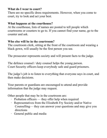### **What do I wear to court?**

There are no specific dress requirements. However, when you come to court, try to look and act your best.

#### **What happens at the courthouse?**

At the courthouse, lists of names are posted to tell people which courtrooms or counters to go to. If you cannot find your name, go to the counter and ask.

### **Who else will be in the courtroom?**

The courtroom clerk, sitting at the front of the courtroom and wearing a black gown, will usually be the first person you see.

The prosecutor represents society and will present facts to the judge.

The defence counsel / duty counsel helps the young person. Court Security officers keep everybody safe and guard prisoners.

The judge's job is to listen to everything that everyone says in court, and then make decisions.

Your parents or guardians are encouraged to attend and provide information that the judge may request.

Other people that may be in the courtroom are:

- · Probation officers they offer help when required
- · Representatives from the Elizabeth Fry Society and/or Native Counselling— they can answer your questions and may give you directions
- · General public and media